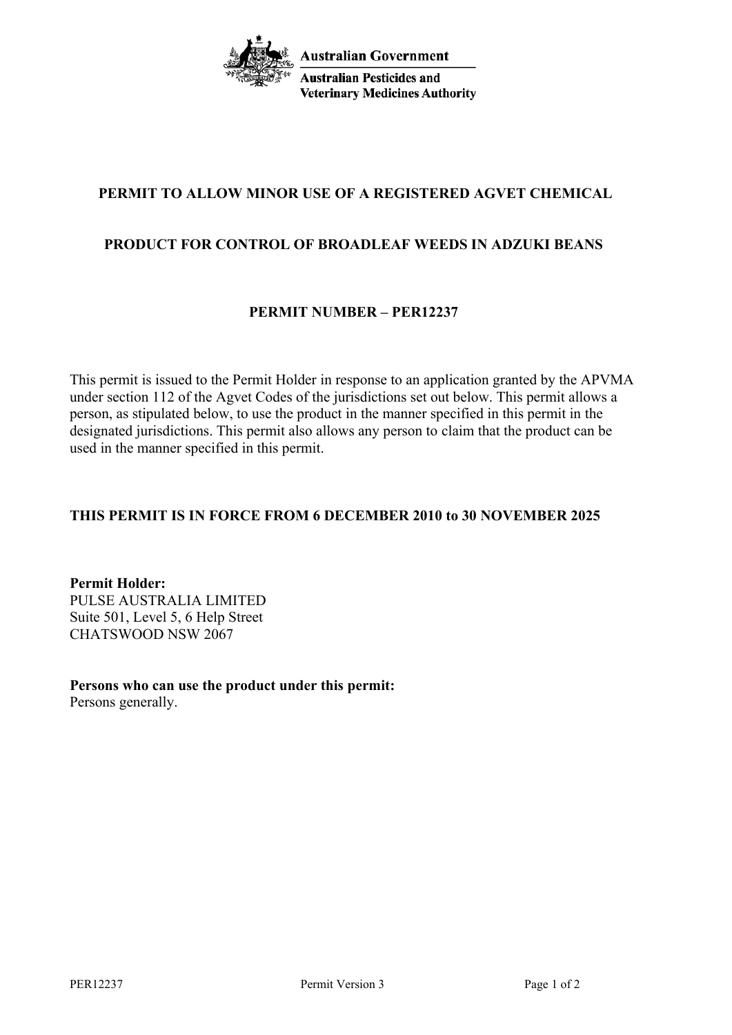

## **PERMIT TO ALLOW MINOR USE OF A REGISTERED AGVET CHEMICAL**

## **PRODUCT FOR CONTROL OF BROADLEAF WEEDS IN ADZUKI BEANS**

## **PERMIT NUMBER – PER12237**

This permit is issued to the Permit Holder in response to an application granted by the APVMA under section 112 of the Agvet Codes of the jurisdictions set out below. This permit allows a person, as stipulated below, to use the product in the manner specified in this permit in the designated jurisdictions. This permit also allows any person to claim that the product can be used in the manner specified in this permit.

## **THIS PERMIT IS IN FORCE FROM 6 DECEMBER 2010 to 30 NOVEMBER 2025**

**Permit Holder:** PULSE AUSTRALIA LIMITED Suite 501, Level 5, 6 Help Street CHATSWOOD NSW 2067

**Persons who can use the product under this permit:** Persons generally.